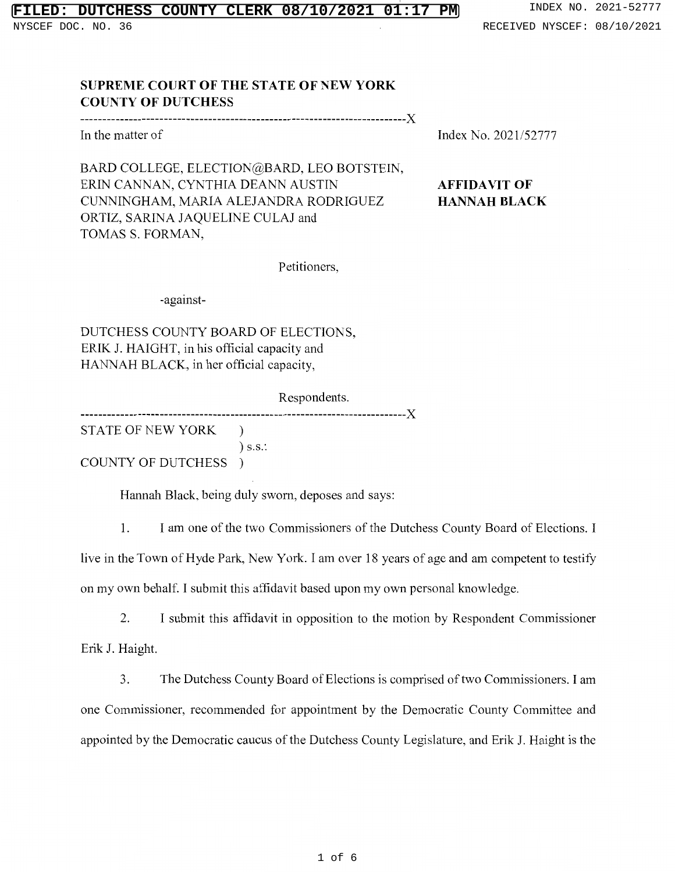# **FILT COUNTY CLERK 08/10/2021 01:17 PM** INDEX NO. 2021-52777

NYSCEF DOC. NO. 36 **RECEIVED NYSCEF: 08/10/2021** 

### **SUPREME COURT OF THE STATE OF NEW YORK COUNTY OF DUTCHESS**

#### --------------------------------------------------------------------------)(

In the matter of

Index No. 2021/52777

# **AFFIDAVIT OF HANNAH BLACK**

BARD COLLEGE, ELECTION@BARD, LEO BOTSTEIN, ERIN CANNAN, CYNTHIA DEANN AUSTIN CUNNINGHAM, MARIA ALEJANDRA RODRIGUEZ ORTIZ, SARINA JAQUELINE CULAJ and TOMAS S. FORMAN,

Petitioners,

-against-

DUTCHESS COUNTY BOARD OF ELECTIONS, ERIK J. HAIGHT, in his official capacity and HANNAH BLACK, in her official capacity,

Respondents.

--------------------------------------------------------------------------)( STATE OF NEW YORK ) ) s.s.:

COUNTY OF DUTCHESS )

Hannah Black, being duly sworn, deposes and says:

1. I am one of the two Commissioners of the Dutchess County Board of Elections. I live in the Town of Hyde Park, New York. I am over 18 years of age and am competent to testify on my own behalf. I submit this affidavit based upon my own personal knowledge.

2. I submit this affidavit in opposition to the motion by Respondent Commissioner Erik J. Haight.

3. The Dutchess County Board of Elections is comprised of two Commissioners. I am one Commissioner, recommended for appointment by the Democratic County Committee and appointed by the Democratic caucus of the Dutchess County Legislature, and Erik J. Haight is the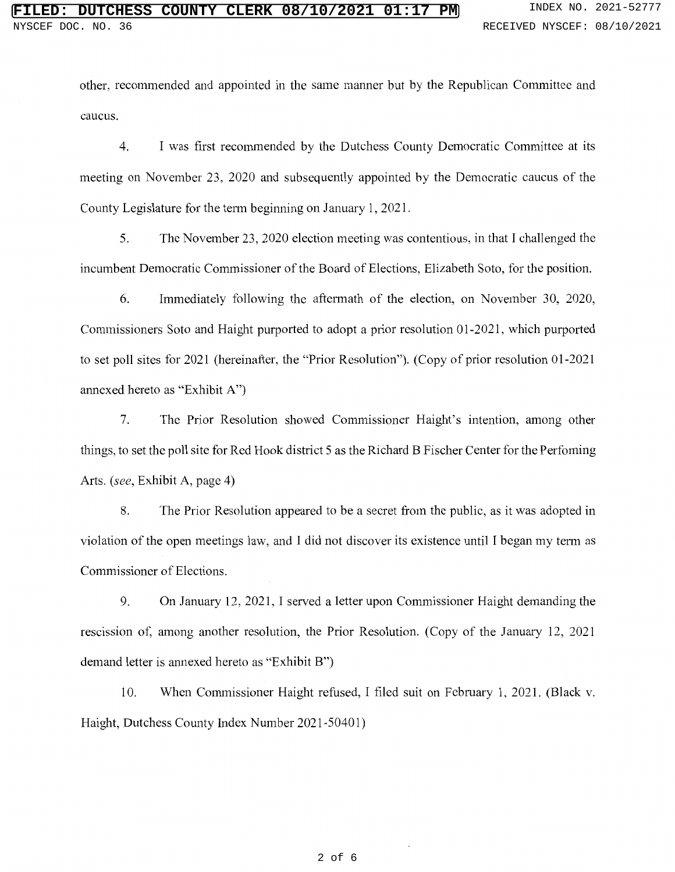other, recommended and appointed in the same manner but by the Republican Committee and caucus.

4. I was first recommended by the Dutchess County Democratic Committee at its meeting on November 23, 2020 and subsequently appointed by the Democratic caucus of the County Legislature for the term beginning on January 1, 2021.

5. The November 23, 2020 election meeting was contentious, in that I challenged the incumbent Democratic Commissioner of the Board of Elections, Elizabeth Soto, for the position.

6. Immediately following the aftermath of the election, on November 30, 2020, Commissioners Soto and Haight purported to adopt a prior resolution 01-2021, which purported to set poll sites for 2021 (hereinafter, the "Prior Resolution"). (Copy of prior resolution 01-2021 annexed hereto as "Exhibit A")

7. The Prior Resolution showed Commissioner Haight's intention, among other things, to set the poll site for Red Hook district 5 as the Richard B Fischer Center for the Perfoming Arts. *(see,* Exhibit A, page 4)

8. The Prior Resolution appeared to be a secret from the public, as it was adopted in violation of the open meetings law, and I did not discover its existence until I began my term as Commissioner of Elections.

9. On January 12, 2021, I served a letter upon Commissioner Haight demanding the rescission of, among another resolution, the Prior Resolution. (Copy of the January 12, 2021 demand letter is annexed hereto as "Exhibit B")

10. When Commissioner Haight refused, I filed suit on February 1, 2021. (Black v. Haight, Dutchess County Index Number 2021-50401)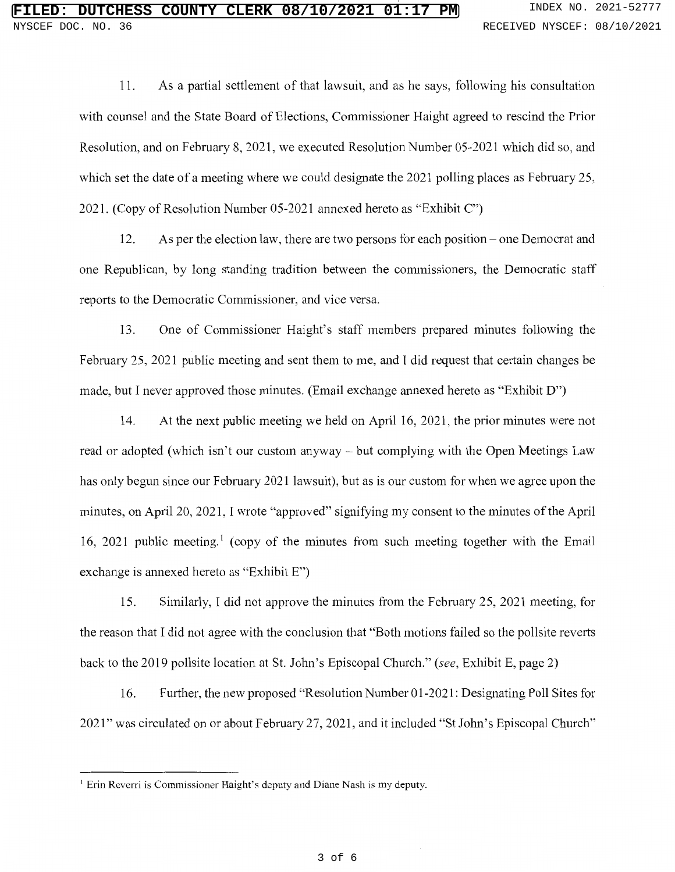11. As a partial settlement of that lawsuit, and as he says, following his consultation with counsel and the State Board of Elections, Commissioner Haight agreed to rescind the Prior Resolution, and on February 8, 2021, we executed Resolution Number 05-2021 which did so, and which set the date of a meeting where we could designate the 2021 polling places as February 25, 2021. (Copy of Resolution Number 05-2021 annexed hereto as "Exhibit C")

12. As per the election law, there are two persons for each position- one Democrat and one Republican, by long standing tradition between the commissioners, the Democratic staff reports to the Democratic Commissioner, and vice versa.

13. One of Commissioner Haight's staff members prepared minutes following the February 25, 2021 public meeting and sent them to me, and I did request that certain changes be made, but I never approved those minutes. (Email exchange annexed hereto as "Exhibit D")

14. At the next public meeting we held on April 16, 2021, the prior minutes were not read or adopted (which isn't our custom anyway - but complying with the Open Meetings Law has only begun since our February 2021 lawsuit), but as is our custom for when we agree upon the minutes, on April 20, 2021, I wrote "approved" signifying my consent to the minutes of the April 16, 2021 public meeting.<sup>1</sup> (copy of the minutes from such meeting together with the Email exchange is annexed hereto as "Exhibit E")

15. Similarly, I did not approve the minutes from the February 25, 2021 meeting, for the reason that I did not agree with the conclusion that "Both motions failed so the pollsite reverts back to the 2019 pollsite location at St. John's Episcopal Church." *(see,* Exhibit E, page 2)

16. Further, the new proposed "Resolution Number 01-2021: Designating Poll Sites for 2021" was circulated on or about February 27, 2021, and it included "St John's Episcopal Church"

<sup>&</sup>lt;sup>1</sup> Erin Reverri is Commissioner Haight's deputy and Diane Nash is my deputy.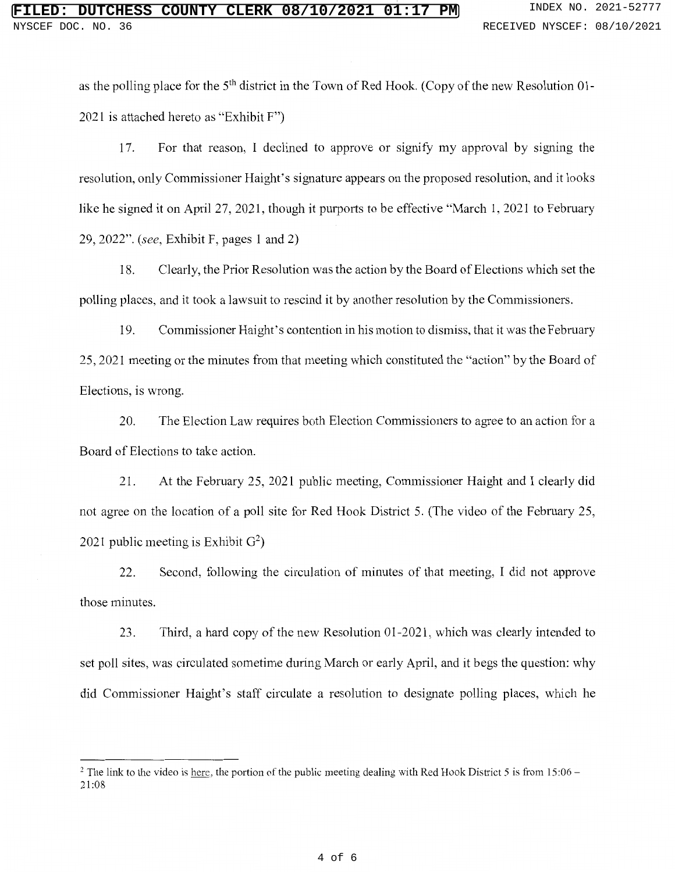as the polling place for the 5<sup>th</sup> district in the Town of Red Hook. (Copy of the new Resolution 01-2021 is attached hereto as "Exhibit F")

17. For that reason, I declined to approve or signify my approval by signing the resolution, only Commissioner Haight's signature appears on the proposed resolution, and it looks like he signed it on April 27, 2021, though it purports to be effective "March 1, 2021 to February 29, 2022". *(see,* Exhibit F, pages 1 and 2)

18. Clearly, the Prior Resolution was the action by the Board of Elections which set the polling places, and it took a lawsuit to rescind it by another resolution by the Commissioners.

19. Commissioner Haight' s contention in his motion to dismiss, that it was the February 25, 2021 meeting or the minutes from that meeting which constituted the "action" by the Board of Elections, is wrong.

20. The Election Law requires both Election Commissioners to agree to an action for a Board of Elections to take action.

21. At the February 25, 2021 public meeting, Commissioner Haight and I clearly did not agree on the location of a poll site for Red Hook District 5. (The video of the February 25, 2021 public meeting is Exhibit  $G^2$ )

22. Second, following the circulation of minutes of that meeting, I did not approve those minutes.

23. Third, a hard copy of the new Resolution 01-2021, which was clearly intended to set poll sites, was circulated sometime during March or early April, and it begs the question: why did Commissioner Haight's staff circulate a resolution to designate polling places, which he

 $2$  The link to the video is here, the portion of the public meeting dealing with Red Hook District 5 is from 15:06 – 21:08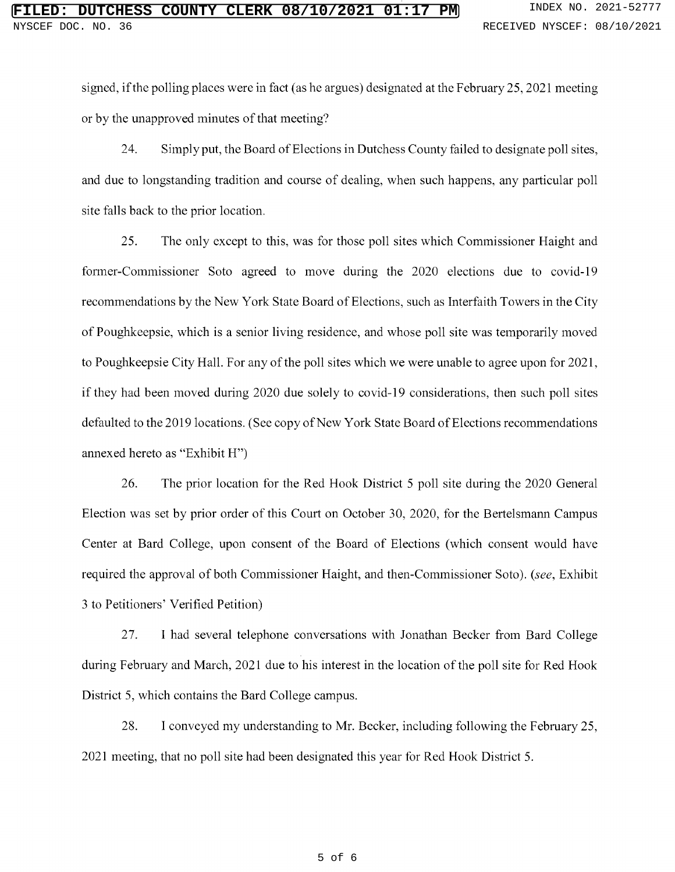signed, if the polling places were in fact (as he argues) designated at the February 25, 2021 meeting or by the unapproved minutes of that meeting?

24. Simply put, the Board of Elections in Dutchess County failed to designate poll sites, and due to longstanding tradition and course of dealing, when such happens, any particular poll site falls back to the prior location.

25. The only except to this, was for those poll sites which Commissioner Haight and former-Commissioner Soto agreed to move during the 2020 elections due to covid-19 recommendations by the New York State Board of Elections, such as Interfaith Towers in the City of Poughkeepsie, which is a senior living residence, and whose poll site was temporarily moved to Poughkeepsie City Hall. For any of the poll sites which we were unable to agree upon for 2021, if they had been moved during 2020 due solely to covid-19 considerations, then such poll sites defaulted to the 2019 locations. (See copy of New York State Board of Elections recommendations annexed hereto as "Exhibit H")

26. The prior location for the Red Hook District 5 poll site during the 2020 General Election was set by prior order of this Court on October 30, 2020, for the Bertelsmann Campus Center at Bard College, upon consent of the Board of Elections (which consent would have required the approval of both Commissioner Haight, and then-Commissioner Soto). *(see,* Exhibit 3 to Petitioners' Verified Petition)

27. I had several telephone conversations with Jonathan Becker from Bard College during February and March, 2021 due to his interest in the location of the poll site for Red Hook District 5, which contains the Bard College campus.

28. I conveyed my understanding to Mr. Becker, including following the February 25, 2021 meeting, that no poll site had been designated this year for Red Hook District 5.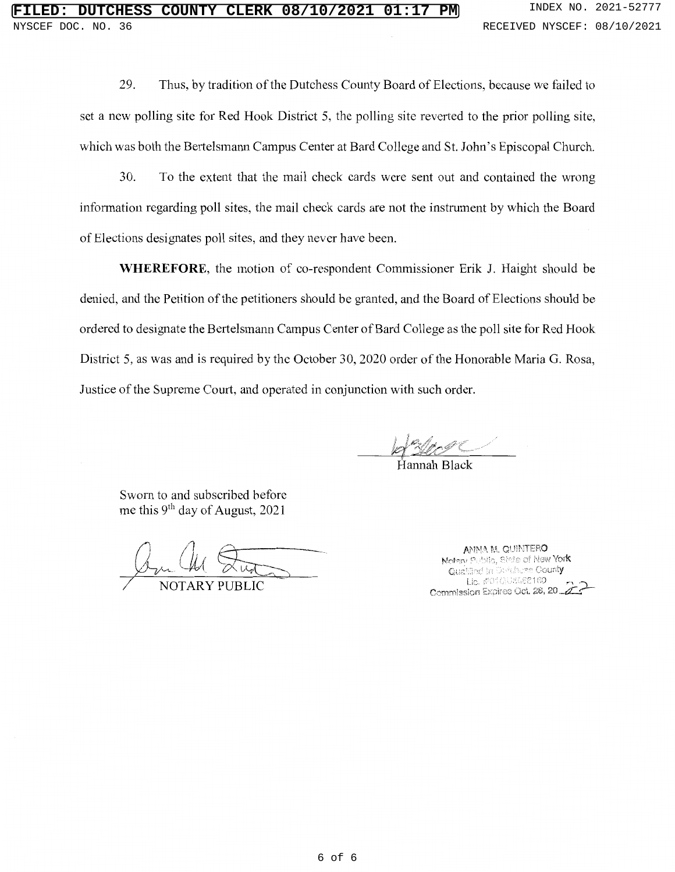29. Thus, by tradition of the Dutchess County Board of Elections, because we failed to set a new polling site for Red Hook District 5, the polling site reverted to the prior polling site, which was both the Bertelsmann Campus Center at Bard College and St. John's Episcopal Church.

30. To the extent that the mail check cards were sent out and contained the wrong information regarding poll sites, the mail check cards are not the instrument by which the Board of Elections designates poll sites, and they never have been.

**WHEREFORE,** the motion of co-respondent Commissioner Erik J. Haight should be denied, and the Petition of the petitioners should be granted, and the Board of Elections should be ordered to designate the Bertelsmann Campus Center of Bard College as the poll site for Red Hook District 5, as was and is required by the October 30, 2020 order of the Honorable Maria G. Rosa, Justice of the Supreme Court, and operated in conjunction with such order.

Hannah Black

Sworn to and subscribed before me this  $9<sup>th</sup>$  day of August, 2021

ar Che Studes

ANNA M. QUINTERO Notary Public, State of New **York**<br>".Quallinet in Durchuse Count**y** Lie. #01GUSG88160 Commission Expires Oct. 28, 20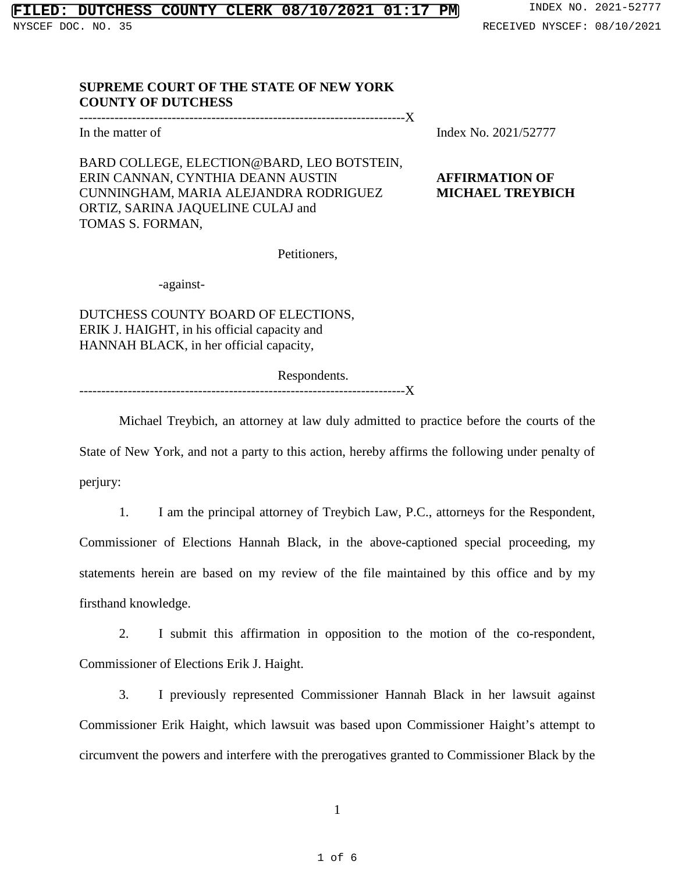### **SUPREME COURT OF THE STATE OF NEW YORK COUNTY OF DUTCHESS**

--------------------------------------------------------------------------X

BARD COLLEGE, ELECTION@BARD, LEO BOTSTEIN,

TOMAS S. FORMAN,

In the matter of Index No. 2021/52777

### ERIN CANNAN, CYNTHIA DEANN AUSTIN **AFFIRMATION OF** CUNNINGHAM, MARIA ALEJANDRA RODRIGUEZ **MICHAEL TREYBICH**

Petitioners,

-against-

ORTIZ, SARINA JAQUELINE CULAJ and

DUTCHESS COUNTY BOARD OF ELECTIONS, ERIK J. HAIGHT, in his official capacity and HANNAH BLACK, in her official capacity,

Respondents.

--------------------------------------------------------------------------X

Michael Treybich, an attorney at law duly admitted to practice before the courts of the State of New York, and not a party to this action, hereby affirms the following under penalty of perjury:

1. I am the principal attorney of Treybich Law, P.C., attorneys for the Respondent, Commissioner of Elections Hannah Black, in the above-captioned special proceeding, my statements herein are based on my review of the file maintained by this office and by my firsthand knowledge.

2. I submit this affirmation in opposition to the motion of the co-respondent, Commissioner of Elections Erik J. Haight.

3. I previously represented Commissioner Hannah Black in her lawsuit against Commissioner Erik Haight, which lawsuit was based upon Commissioner Haight's attempt to circumvent the powers and interfere with the prerogatives granted to Commissioner Black by the

1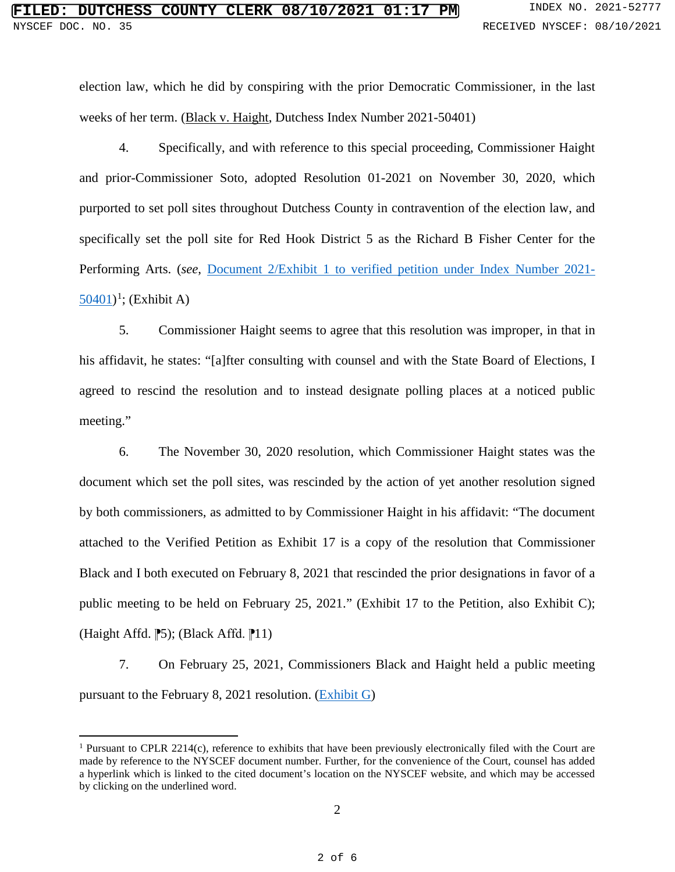election law, which he did by conspiring with the prior Democratic Commissioner, in the last weeks of her term. (Black v. Haight, Dutchess Index Number 2021-50401)

4. Specifically, and with reference to this special proceeding, Commissioner Haight and prior-Commissioner Soto, adopted Resolution 01-2021 on November 30, 2020, which purported to set poll sites throughout Dutchess County in contravention of the election law, and specifically set the poll site for Red Hook District 5 as the Richard B Fisher Center for the Performing Arts. (*see*, Document 2/Exhibit 1 [to verified petition under Index Number 2021-](https://iapps.courts.state.ny.us/nyscef/ViewDocument?docIndex=4zTRFhxjFmu_PLUS_x5mSb3LC4Q==)  $50401$  $50401$ <sup>1</sup>; (Exhibit A)

5. Commissioner Haight seems to agree that this resolution was improper, in that in his affidavit, he states: "[a]fter consulting with counsel and with the State Board of Elections, I agreed to rescind the resolution and to instead designate polling places at a noticed public meeting."

6. The November 30, 2020 resolution, which Commissioner Haight states was the document which set the poll sites, was rescinded by the action of yet another resolution signed by both commissioners, as admitted to by Commissioner Haight in his affidavit: "The document attached to the Verified Petition as Exhibit 17 is a copy of the resolution that Commissioner Black and I both executed on February 8, 2021 that rescinded the prior designations in favor of a public meeting to be held on February 25, 2021." (Exhibit 17 to the Petition, also Exhibit C); (Haight Affd.  $\mathbb{P}5$ ); (Black Affd.  $\mathbb{P}11$ )

7. On February 25, 2021, Commissioners Black and Haight held a public meeting pursuant to the February 8, 2021 resolution. [\(Exhibit G\)](https://www.youtube.com/watch?v=v8lZDH1Yg1k&t=2s)

 $\overline{a}$ 

<span id="page-7-0"></span><sup>&</sup>lt;sup>1</sup> Pursuant to CPLR 2214(c), reference to exhibits that have been previously electronically filed with the Court are made by reference to the NYSCEF document number. Further, for the convenience of the Court, counsel has added a hyperlink which is linked to the cited document's location on the NYSCEF website, and which may be accessed by clicking on the underlined word.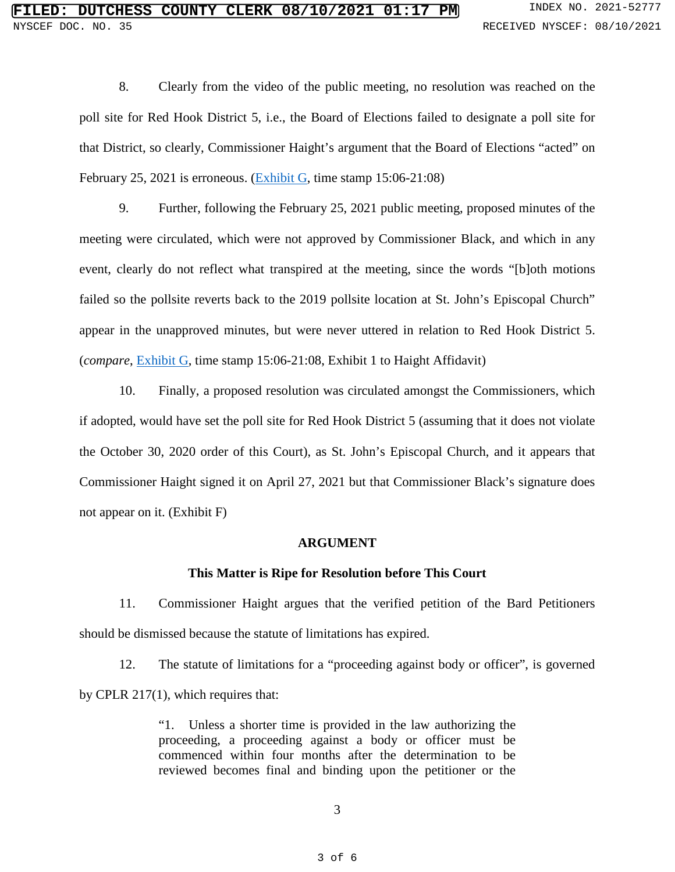8. Clearly from the video of the public meeting, no resolution was reached on the poll site for Red Hook District 5, i.e., the Board of Elections failed to designate a poll site for that District, so clearly, Commissioner Haight's argument that the Board of Elections "acted" on February 25, 2021 is erroneous. [\(Exhibit G,](https://www.youtube.com/watch?v=v8lZDH1Yg1k&t=2s) time stamp 15:06-21:08)

9. Further, following the February 25, 2021 public meeting, proposed minutes of the meeting were circulated, which were not approved by Commissioner Black, and which in any event, clearly do not reflect what transpired at the meeting, since the words "[b]oth motions failed so the pollsite reverts back to the 2019 pollsite location at St. John's Episcopal Church" appear in the unapproved minutes, but were never uttered in relation to Red Hook District 5. (*compare*, [Exhibit G,](https://www.youtube.com/watch?v=v8lZDH1Yg1k&t=2s) time stamp 15:06-21:08, Exhibit 1 to Haight Affidavit)

10. Finally, a proposed resolution was circulated amongst the Commissioners, which if adopted, would have set the poll site for Red Hook District 5 (assuming that it does not violate the October 30, 2020 order of this Court), as St. John's Episcopal Church, and it appears that Commissioner Haight signed it on April 27, 2021 but that Commissioner Black's signature does not appear on it. (Exhibit F)

#### **ARGUMENT**

### **This Matter is Ripe for Resolution before This Court**

11. Commissioner Haight argues that the verified petition of the Bard Petitioners should be dismissed because the statute of limitations has expired.

12. The statute of limitations for a "proceeding against body or officer", is governed by CPLR 217(1), which requires that:

> "1. Unless a shorter time is provided in the law authorizing the proceeding, a proceeding against a body or officer must be commenced within four months after the determination to be reviewed becomes final and binding upon the petitioner or the

> > 3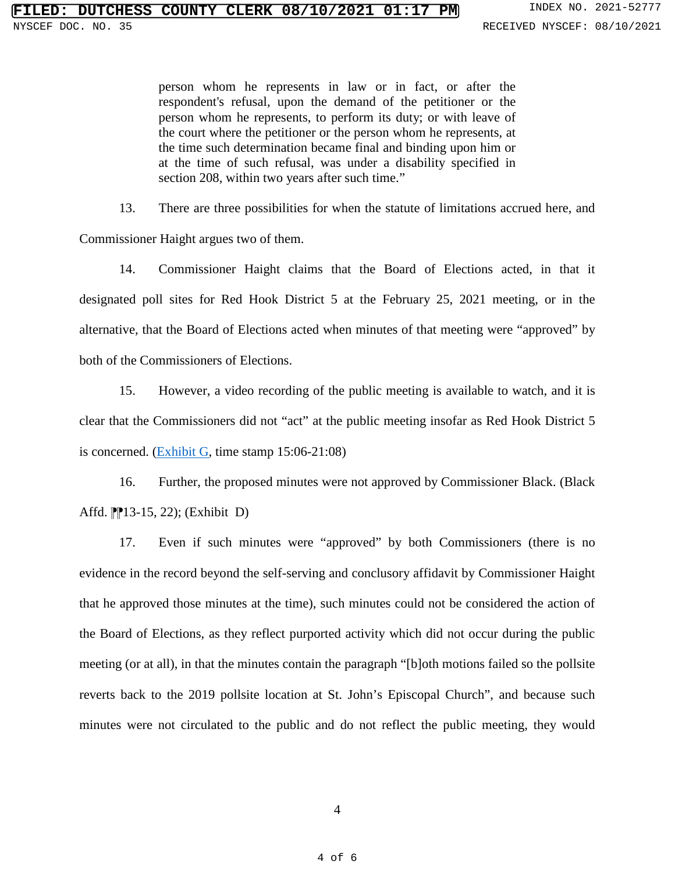person whom he represents in law or in fact, or after the respondent's refusal, upon the demand of the petitioner or the person whom he represents, to perform its duty; or with leave of the court where the petitioner or the person whom he represents, at the time such determination became final and binding upon him or at the time of such refusal, was under a disability specified in section 208, within two years after such time."

13. There are three possibilities for when the statute of limitations accrued here, and Commissioner Haight argues two of them.

14. Commissioner Haight claims that the Board of Elections acted, in that it designated poll sites for Red Hook District 5 at the February 25, 2021 meeting, or in the alternative, that the Board of Elections acted when minutes of that meeting were "approved" by both of the Commissioners of Elections.

15. However, a video recording of the public meeting is available to watch, and it is clear that the Commissioners did not "act" at the public meeting insofar as Red Hook District 5 is concerned. [\(Exhibit G,](https://www.youtube.com/watch?v=v8lZDH1Yg1k&t=2s) time stamp  $15:06-21:08$ )

16. Further, the proposed minutes were not approved by Commissioner Black. (Black Affd. <sup>1</sup>[13-15, 22); (Exhibit D)

17. Even if such minutes were "approved" by both Commissioners (there is no evidence in the record beyond the self-serving and conclusory affidavit by Commissioner Haight that he approved those minutes at the time), such minutes could not be considered the action of the Board of Elections, as they reflect purported activity which did not occur during the public meeting (or at all), in that the minutes contain the paragraph "[b]oth motions failed so the pollsite reverts back to the 2019 pollsite location at St. John's Episcopal Church", and because such minutes were not circulated to the public and do not reflect the public meeting, they would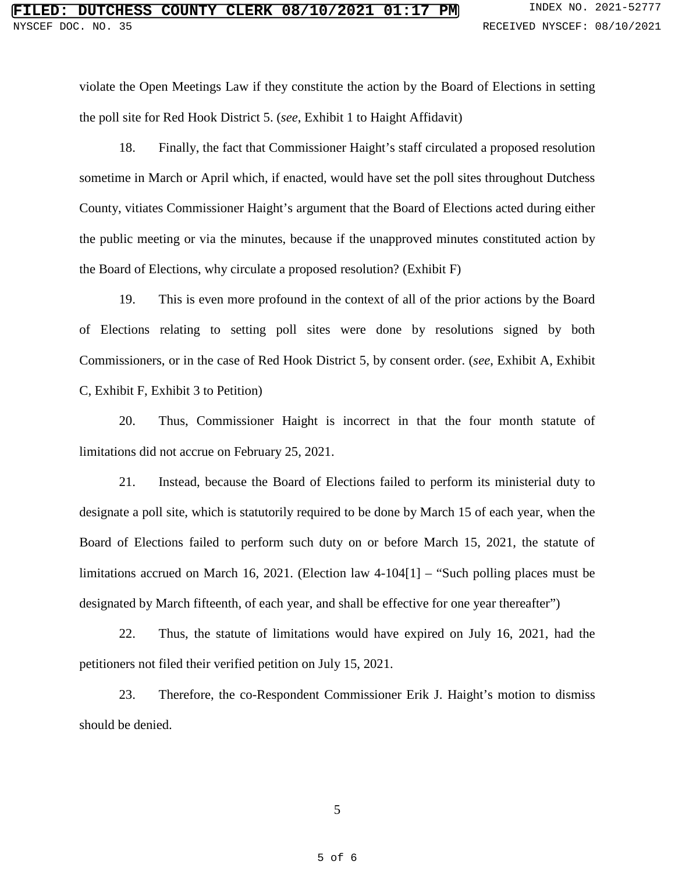violate the Open Meetings Law if they constitute the action by the Board of Elections in setting the poll site for Red Hook District 5. (*see*, Exhibit 1 to Haight Affidavit)

18. Finally, the fact that Commissioner Haight's staff circulated a proposed resolution sometime in March or April which, if enacted, would have set the poll sites throughout Dutchess County, vitiates Commissioner Haight's argument that the Board of Elections acted during either the public meeting or via the minutes, because if the unapproved minutes constituted action by the Board of Elections, why circulate a proposed resolution? (Exhibit F)

19. This is even more profound in the context of all of the prior actions by the Board of Elections relating to setting poll sites were done by resolutions signed by both Commissioners, or in the case of Red Hook District 5, by consent order. (*see*, Exhibit A, Exhibit C, Exhibit F, Exhibit 3 to Petition)

20. Thus, Commissioner Haight is incorrect in that the four month statute of limitations did not accrue on February 25, 2021.

21. Instead, because the Board of Elections failed to perform its ministerial duty to designate a poll site, which is statutorily required to be done by March 15 of each year, when the Board of Elections failed to perform such duty on or before March 15, 2021, the statute of limitations accrued on March 16, 2021. (Election law 4-104[1] – "Such polling places must be designated by March fifteenth, of each year, and shall be effective for one year thereafter")

22. Thus, the statute of limitations would have expired on July 16, 2021, had the petitioners not filed their verified petition on July 15, 2021.

23. Therefore, the co-Respondent Commissioner Erik J. Haight's motion to dismiss should be denied.